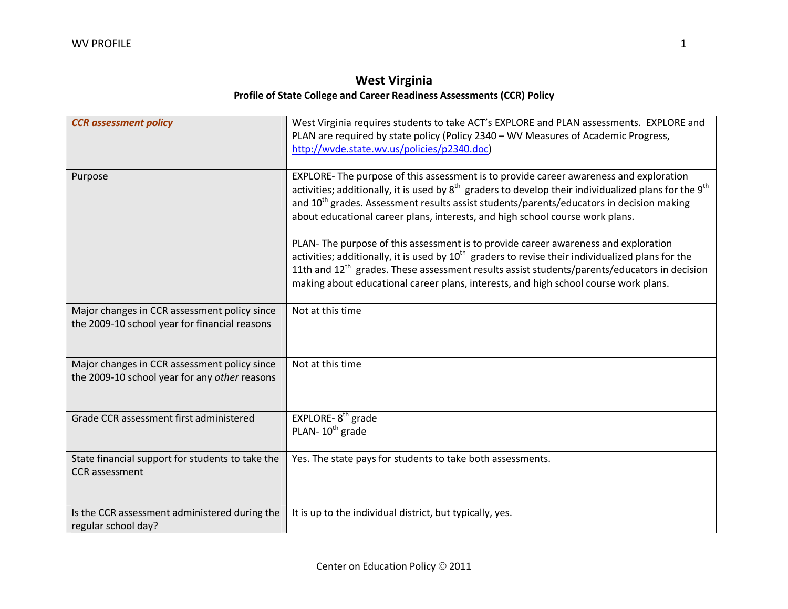## **West Virginia Profile of State College and Career Readiness Assessments (CCR) Policy**

| <b>CCR</b> assessment policy                                                                  | West Virginia requires students to take ACT's EXPLORE and PLAN assessments. EXPLORE and<br>PLAN are required by state policy (Policy 2340 - WV Measures of Academic Progress,<br>http://wvde.state.wv.us/policies/p2340.doc)                                                                                                                                                                       |
|-----------------------------------------------------------------------------------------------|----------------------------------------------------------------------------------------------------------------------------------------------------------------------------------------------------------------------------------------------------------------------------------------------------------------------------------------------------------------------------------------------------|
| Purpose                                                                                       | EXPLORE- The purpose of this assessment is to provide career awareness and exploration<br>activities; additionally, it is used by $8^{th}$ graders to develop their individualized plans for the $9^{th}$<br>and 10 <sup>th</sup> grades. Assessment results assist students/parents/educators in decision making<br>about educational career plans, interests, and high school course work plans. |
|                                                                                               | PLAN-The purpose of this assessment is to provide career awareness and exploration<br>activities; additionally, it is used by $10^{th}$ graders to revise their individualized plans for the<br>11th and 12 <sup>th</sup> grades. These assessment results assist students/parents/educators in decision<br>making about educational career plans, interests, and high school course work plans.   |
| Major changes in CCR assessment policy since<br>the 2009-10 school year for financial reasons | Not at this time                                                                                                                                                                                                                                                                                                                                                                                   |
| Major changes in CCR assessment policy since<br>the 2009-10 school year for any other reasons | Not at this time                                                                                                                                                                                                                                                                                                                                                                                   |
| Grade CCR assessment first administered                                                       | EXPLORE- $8th$ grade<br>PLAN-10 <sup>th</sup> grade                                                                                                                                                                                                                                                                                                                                                |
| State financial support for students to take the<br><b>CCR</b> assessment                     | Yes. The state pays for students to take both assessments.                                                                                                                                                                                                                                                                                                                                         |
| Is the CCR assessment administered during the<br>regular school day?                          | It is up to the individual district, but typically, yes.                                                                                                                                                                                                                                                                                                                                           |